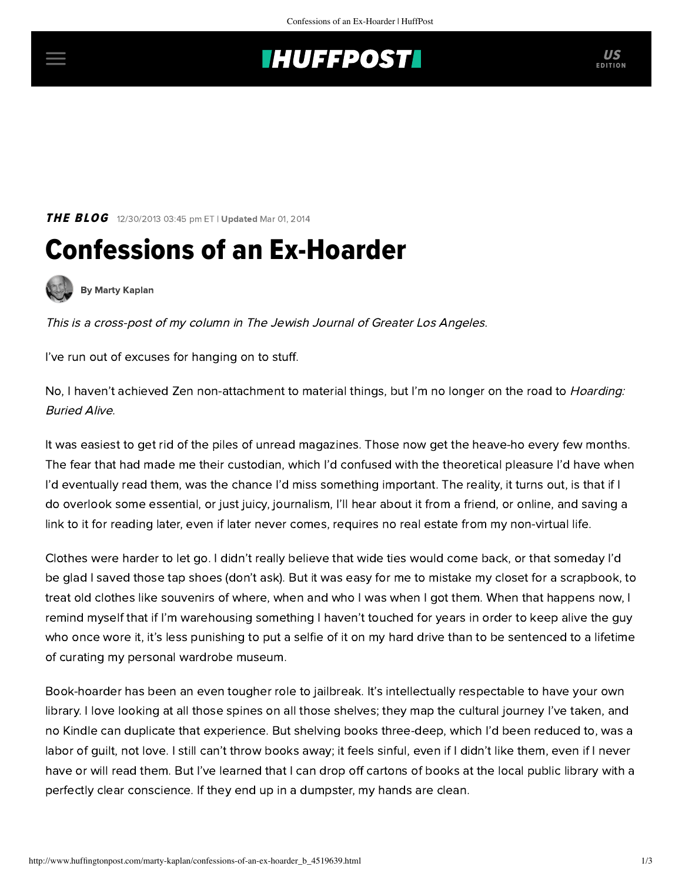## **INUFFPOSTI** US

**THE BLOG** 12/30/2013 03:45 pm ET | Updated Mar 01, 2014

# Confessions of an Ex-Hoarder



[By Marty Kaplan](http://www.huffingtonpost.com/author/marty-kaplan)

This is a cross-post of my [column](http://www.jewishjournal.com/marty_kaplan/article/mary_poppins_does_not_come_back) in The [Jewish Journal of Greater Los Angeles](http://jewishjournal.com/).

I've run out of excuses for hanging on to stuff.

No, I haven't achieved Zen non-attachment to material things, but I'm no longer on the road to Hoarding: Buried Alive.

It was easiest to get rid of the piles of unread magazines. Those now get the heave-ho every few months. The fear that had made me their custodian, which I'd confused with the theoretical pleasure I'd have when I'd eventually read them, was the chance I'd miss something important. The reality, it turns out, is that if I do overlook some essential, or just juicy, journalism, I'll hear about it from a friend, or online, and saving a link to it for reading later, even if later never comes, requires no real estate from my non-virtual life.

Clothes were harder to let go. I didn't really believe that wide ties would come back, or that someday I'd be glad I saved those tap shoes (don't ask). But it was easy for me to mistake my closet for a scrapbook, to treat old clothes like souvenirs of where, when and who I was when I got them. When that happens now, I remind myself that if I'm warehousing something I haven't touched for years in order to keep alive the guy who once wore it, it's less punishing to put a selfie of it on my hard drive than to be sentenced to a lifetime of curating my personal wardrobe museum.

Book-hoarder has been an even tougher role to jailbreak. It's intellectually respectable to have your own library. I love looking at all those spines on all those shelves; they map the cultural journey I've taken, and no Kindle can duplicate that experience. But shelving books three-deep, which I'd been reduced to, was a labor of guilt, not love. I still can't throw books away; it feels sinful, even if I didn't like them, even if I never have or will read them. But I've learned that I can drop off cartons of books at the local public library with a perfectly clear conscience. If they end up in a dumpster, my hands are clean.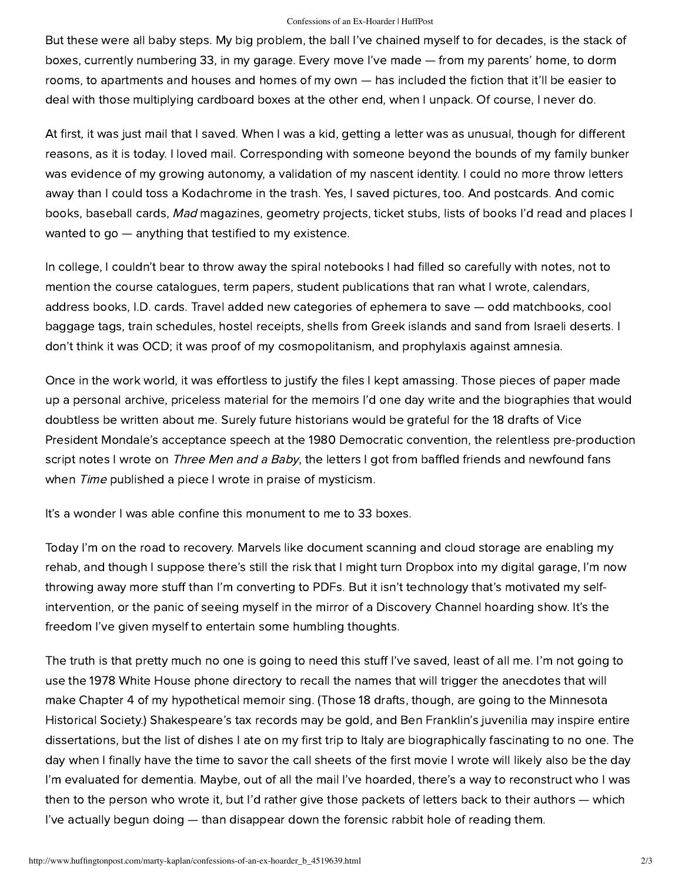#### Confessions of an Ex-Hoarder | HuffPost

But these were all baby steps. My big problem, the ball I've chained myself to for decades, is the stack of boxes, currently numbering 33, in my garage. Every move I've made — from my parents' home, to dorm rooms, to apartments and houses and homes of my own — has included the fiction that it'll be easier to deal with those multiplying cardboard boxes at the other end, when I unpack. Of course, I never do.

At first, it was just mail that I saved. When I was a kid, getting a letter was as unusual, though for different reasons, as it is today. I loved mail. Corresponding with someone beyond the bounds of my family bunker was evidence of my growing autonomy, a validation of my nascent identity. I could no more throw letters away than I could toss a Kodachrome in the trash. Yes, I saved pictures, too. And postcards. And comic books, baseball cards, Mad magazines, geometry projects, ticket stubs, lists of books I'd read and places I wanted to go — anything that testified to my existence.

In college, I couldn't bear to throw away the spiral notebooks I had filled so carefully with notes, not to mention the course catalogues, term papers, student publications that ran what I wrote, calendars, address books, I.D. cards. Travel added new categories of ephemera to save — odd matchbooks, cool baggage tags, train schedules, hostel receipts, shells from Greek islands and sand from Israeli deserts. I don't think it was OCD; it was proof of my cosmopolitanism, and prophylaxis against amnesia.

Once in the work world, it was effortless to justify the files I kept amassing. Those pieces of paper made up a personal archive, priceless material for the memoirs I'd one day write and the biographies that would doubtless be written about me. Surely future historians would be grateful for the 18 drafts of Vice President Mondale's acceptance speech at the 1980 Democratic convention, the relentless pre-production script notes I wrote on *Three Men and a Baby*, the letters I got from baffled friends and newfound fans when *Time* published a piece I wrote in praise of mysticism.

It's a wonder I was able confine this monument to me to 33 boxes.

Today I'm on the road to recovery. Marvels like document scanning and cloud storage are enabling my rehab, and though I suppose there's still the risk that I might turn Dropbox into my digital garage, I'm now throwing away more stuff than I'm converting to PDFs. But it isn't technology that's motivated my selfintervention, or the panic of seeing myself in the mirror of a Discovery Channel hoarding show. It's the freedom I've given myself to entertain some humbling thoughts.

The truth is that pretty much no one is going to need this stuff I've saved, least of all me. I'm not going to use the 1978 White House phone directory to recall the names that will trigger the anecdotes that will make Chapter 4 of my hypothetical memoir sing. (Those 18 drafts, though, are going to the Minnesota Historical Society.) Shakespeare's tax records may be gold, and Ben Franklin's juvenilia may inspire entire dissertations, but the list of dishes I ate on my first trip to Italy are biographically fascinating to no one. The day when I finally have the time to savor the call sheets of the first movie I wrote will likely also be the day I'm evaluated for dementia. Maybe, out of all the mail I've hoarded, there's a way to reconstruct who I was then to the person who wrote it, but I'd rather give those packets of letters back to their authors — which I've actually begun doing — than disappear down the forensic rabbit hole of reading them.